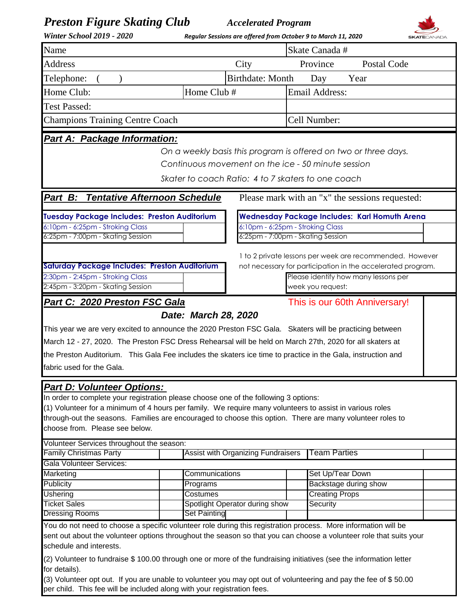| <b>Preston Figure Skating Club</b><br><b>Winter School 2019 - 2020</b>                                                                                                                                                                                                                                                                                                                                                            |                                                                                                                                                             | <b>Accelerated Program</b><br>Regular Sessions are offered from October 9 to March 11, 2020 |                       |                                                                                                                       |  |  |  |  |  |
|-----------------------------------------------------------------------------------------------------------------------------------------------------------------------------------------------------------------------------------------------------------------------------------------------------------------------------------------------------------------------------------------------------------------------------------|-------------------------------------------------------------------------------------------------------------------------------------------------------------|---------------------------------------------------------------------------------------------|-----------------------|-----------------------------------------------------------------------------------------------------------------------|--|--|--|--|--|
| Name                                                                                                                                                                                                                                                                                                                                                                                                                              |                                                                                                                                                             | Skate Canada #                                                                              |                       |                                                                                                                       |  |  |  |  |  |
| <b>Address</b>                                                                                                                                                                                                                                                                                                                                                                                                                    |                                                                                                                                                             | Province<br><b>Postal Code</b><br>City                                                      |                       |                                                                                                                       |  |  |  |  |  |
| Telephone:                                                                                                                                                                                                                                                                                                                                                                                                                        |                                                                                                                                                             | <b>Birthdate: Month</b><br>Day<br>Year                                                      |                       |                                                                                                                       |  |  |  |  |  |
|                                                                                                                                                                                                                                                                                                                                                                                                                                   | Home Club #                                                                                                                                                 |                                                                                             |                       |                                                                                                                       |  |  |  |  |  |
| Home Club:                                                                                                                                                                                                                                                                                                                                                                                                                        |                                                                                                                                                             |                                                                                             | <b>Email Address:</b> |                                                                                                                       |  |  |  |  |  |
| <b>Test Passed:</b>                                                                                                                                                                                                                                                                                                                                                                                                               |                                                                                                                                                             |                                                                                             |                       |                                                                                                                       |  |  |  |  |  |
| <b>Champions Training Centre Coach</b>                                                                                                                                                                                                                                                                                                                                                                                            |                                                                                                                                                             | Cell Number:                                                                                |                       |                                                                                                                       |  |  |  |  |  |
| <b>Part A: Package Information:</b>                                                                                                                                                                                                                                                                                                                                                                                               | Skater to coach Ratio: 4 to 7 skaters to one coach                                                                                                          |                                                                                             |                       | On a weekly basis this program is offered on two or three days.<br>Continuous movement on the ice - 50 minute session |  |  |  |  |  |
| <b>Tentative Afternoon Schedule</b><br>Part B:                                                                                                                                                                                                                                                                                                                                                                                    |                                                                                                                                                             |                                                                                             |                       | Please mark with an "x" the sessions requested:                                                                       |  |  |  |  |  |
|                                                                                                                                                                                                                                                                                                                                                                                                                                   |                                                                                                                                                             |                                                                                             |                       |                                                                                                                       |  |  |  |  |  |
| <b>Tuesday Package Includes: Preston Auditorium</b><br>6:10pm - 6:25pm - Stroking Class                                                                                                                                                                                                                                                                                                                                           |                                                                                                                                                             | <b>Wednesday Package Includes: Karl Homuth Arena</b><br>6:10pm - 6:25pm - Stroking Class    |                       |                                                                                                                       |  |  |  |  |  |
| 6:25pm - 7:00pm - Skating Session                                                                                                                                                                                                                                                                                                                                                                                                 |                                                                                                                                                             | 6:25pm - 7:00pm - Skating Session                                                           |                       |                                                                                                                       |  |  |  |  |  |
|                                                                                                                                                                                                                                                                                                                                                                                                                                   |                                                                                                                                                             |                                                                                             |                       |                                                                                                                       |  |  |  |  |  |
|                                                                                                                                                                                                                                                                                                                                                                                                                                   |                                                                                                                                                             |                                                                                             |                       | 1 to 2 private lessons per week are recommended. However                                                              |  |  |  |  |  |
| 2:30pm - 2:45pm - Stroking Class                                                                                                                                                                                                                                                                                                                                                                                                  | <b>Saturday Package Includes: Preston Auditorium</b><br>not necessary for participation in the accelerated program.<br>Please identify how many lessons per |                                                                                             |                       |                                                                                                                       |  |  |  |  |  |
| 2:45pm - 3:20pm - Skating Session                                                                                                                                                                                                                                                                                                                                                                                                 |                                                                                                                                                             |                                                                                             |                       | week you request:                                                                                                     |  |  |  |  |  |
| Part C: 2020 Preston FSC Gala                                                                                                                                                                                                                                                                                                                                                                                                     |                                                                                                                                                             |                                                                                             |                       | This is our 60th Anniversary!                                                                                         |  |  |  |  |  |
| This year we are very excited to announce the 2020 Preston FSC Gala.  Skaters will be practicing between<br>March 12 - 27, 2020. The Preston FSC Dress Rehearsal will be held on March 27th, 2020 for all skaters at<br>the Preston Auditorium. This Gala Fee includes the skaters ice time to practice in the Gala, instruction and<br>fabric used for the Gala.                                                                 | Date: March 28, 2020                                                                                                                                        |                                                                                             |                       |                                                                                                                       |  |  |  |  |  |
| <b>Part D: Volunteer Options:</b><br>In order to complete your registration please choose one of the following 3 options:<br>(1) Volunteer for a minimum of 4 hours per family. We require many volunteers to assist in various roles<br>through-out the seasons. Families are encouraged to choose this option. There are many volunteer roles to<br>choose from. Please see below.<br>Volunteer Services throughout the season: |                                                                                                                                                             |                                                                                             |                       |                                                                                                                       |  |  |  |  |  |
| <b>Family Christmas Party</b>                                                                                                                                                                                                                                                                                                                                                                                                     |                                                                                                                                                             | <b>Assist with Organizing Fundraisers</b>                                                   |                       | <b>Team Parties</b>                                                                                                   |  |  |  |  |  |
| <b>Gala Volunteer Services:</b>                                                                                                                                                                                                                                                                                                                                                                                                   |                                                                                                                                                             |                                                                                             |                       |                                                                                                                       |  |  |  |  |  |
| Marketing                                                                                                                                                                                                                                                                                                                                                                                                                         | Communications                                                                                                                                              |                                                                                             |                       | Set Up/Tear Down                                                                                                      |  |  |  |  |  |
| Publicity                                                                                                                                                                                                                                                                                                                                                                                                                         | Programs                                                                                                                                                    |                                                                                             |                       | Backstage during show                                                                                                 |  |  |  |  |  |
| <b>Ushering</b><br><b>Ticket Sales</b>                                                                                                                                                                                                                                                                                                                                                                                            | Costumes                                                                                                                                                    |                                                                                             |                       | <b>Creating Props</b>                                                                                                 |  |  |  |  |  |
| <b>Dressing Rooms</b>                                                                                                                                                                                                                                                                                                                                                                                                             | Set Painting                                                                                                                                                | Spotlight Operator during show                                                              |                       | Security                                                                                                              |  |  |  |  |  |
| You do not need to choose a specific volunteer role during this registration process. More information will be<br>schedule and interests.                                                                                                                                                                                                                                                                                         |                                                                                                                                                             |                                                                                             |                       | sent out about the volunteer options throughout the season so that you can choose a volunteer role that suits your    |  |  |  |  |  |
| (2) Volunteer to fundraise \$ 100.00 through one or more of the fundraising initiatives (see the information letter<br>for details).<br>(3) Volunteer opt out. If you are unable to volunteer you may opt out of volunteering and pay the fee of \$50.00<br>per child. This fee will be included along with your registration fees.                                                                                               |                                                                                                                                                             |                                                                                             |                       |                                                                                                                       |  |  |  |  |  |

┚